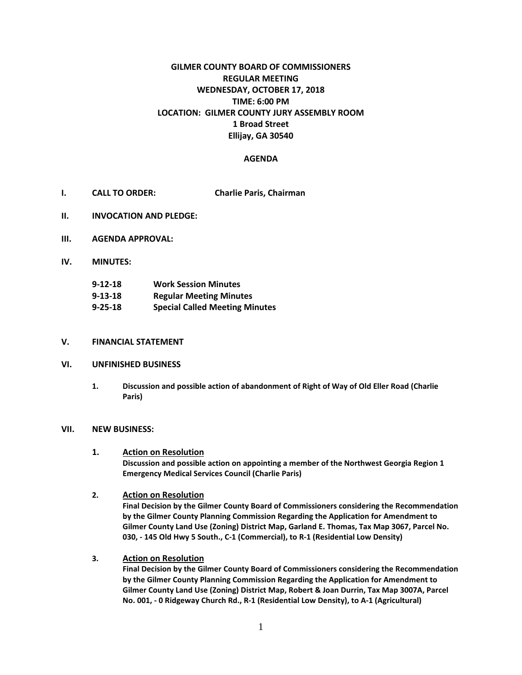# **GILMER COUNTY BOARD OF COMMISSIONERS REGULAR MEETING WEDNESDAY, OCTOBER 17, 2018 TIME: 6:00 PM LOCATION: GILMER COUNTY JURY ASSEMBLY ROOM 1 Broad Street Ellijay, GA 30540**

## **AGENDA**

- **I. CALL TO ORDER: Charlie Paris, Chairman**
- **II. INVOCATION AND PLEDGE:**
- **III. AGENDA APPROVAL:**
- **IV. MINUTES:**

| $9 - 12 - 18$ | <b>Work Session Minutes</b>           |
|---------------|---------------------------------------|
| $9 - 13 - 18$ | <b>Regular Meeting Minutes</b>        |
| $9 - 25 - 18$ | <b>Special Called Meeting Minutes</b> |

#### **V. FINANCIAL STATEMENT**

## **VI. UNFINISHED BUSINESS**

**1. Discussion and possible action of abandonment of Right of Way of Old Eller Road (Charlie Paris)**

#### **VII. NEW BUSINESS:**

#### **1. Action on Resolution**

**Discussion and possible action on appointing a member of the Northwest Georgia Region 1 Emergency Medical Services Council (Charlie Paris)**

## **2. Action on Resolution**

**Final Decision by the Gilmer County Board of Commissioners considering the Recommendation by the Gilmer County Planning Commission Regarding the Application for Amendment to Gilmer County Land Use (Zoning) District Map, Garland E. Thomas, Tax Map 3067, Parcel No. 030, - 145 Old Hwy 5 South., C-1 (Commercial), to R-1 (Residential Low Density)**

## **3. Action on Resolution**

**Final Decision by the Gilmer County Board of Commissioners considering the Recommendation by the Gilmer County Planning Commission Regarding the Application for Amendment to Gilmer County Land Use (Zoning) District Map, Robert & Joan Durrin, Tax Map 3007A, Parcel No. 001, - 0 Ridgeway Church Rd., R-1 (Residential Low Density), to A-1 (Agricultural)**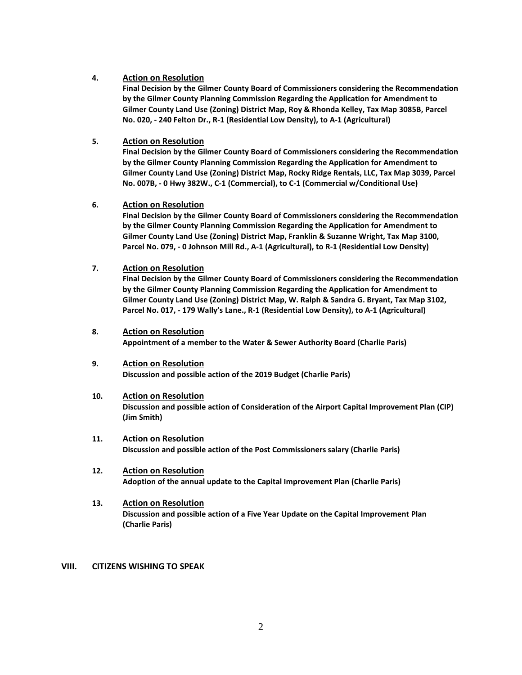## **4. Action on Resolution**

**Final Decision by the Gilmer County Board of Commissioners considering the Recommendation by the Gilmer County Planning Commission Regarding the Application for Amendment to Gilmer County Land Use (Zoning) District Map, Roy & Rhonda Kelley, Tax Map 3085B, Parcel No. 020, - 240 Felton Dr., R-1 (Residential Low Density), to A-1 (Agricultural)**

## **5. Action on Resolution**

**Final Decision by the Gilmer County Board of Commissioners considering the Recommendation by the Gilmer County Planning Commission Regarding the Application for Amendment to Gilmer County Land Use (Zoning) District Map, Rocky Ridge Rentals, LLC, Tax Map 3039, Parcel No. 007B, - 0 Hwy 382W., C-1 (Commercial), to C-1 (Commercial w/Conditional Use)**

## **6. Action on Resolution**

**Final Decision by the Gilmer County Board of Commissioners considering the Recommendation by the Gilmer County Planning Commission Regarding the Application for Amendment to Gilmer County Land Use (Zoning) District Map, Franklin & Suzanne Wright, Tax Map 3100, Parcel No. 079, - 0 Johnson Mill Rd., A-1 (Agricultural), to R-1 (Residential Low Density)**

## **7. Action on Resolution**

**Final Decision by the Gilmer County Board of Commissioners considering the Recommendation by the Gilmer County Planning Commission Regarding the Application for Amendment to Gilmer County Land Use (Zoning) District Map, W. Ralph & Sandra G. Bryant, Tax Map 3102, Parcel No. 017, - 179 Wally's Lane., R-1 (Residential Low Density), to A-1 (Agricultural)**

## **8. Action on Resolution**

**Appointment of a member to the Water & Sewer Authority Board (Charlie Paris)**

## **9. Action on Resolution**

**Discussion and possible action of the 2019 Budget (Charlie Paris)**

## **10. Action on Resolution**

**Discussion and possible action of Consideration of the Airport Capital Improvement Plan (CIP) (Jim Smith)**

- **11. Action on Resolution Discussion and possible action of the Post Commissioners salary (Charlie Paris)**
- **12. Action on Resolution Adoption of the annual update to the Capital Improvement Plan (Charlie Paris)**
- **13. Action on Resolution Discussion and possible action of a Five Year Update on the Capital Improvement Plan (Charlie Paris)**

## **VIII. CITIZENS WISHING TO SPEAK**